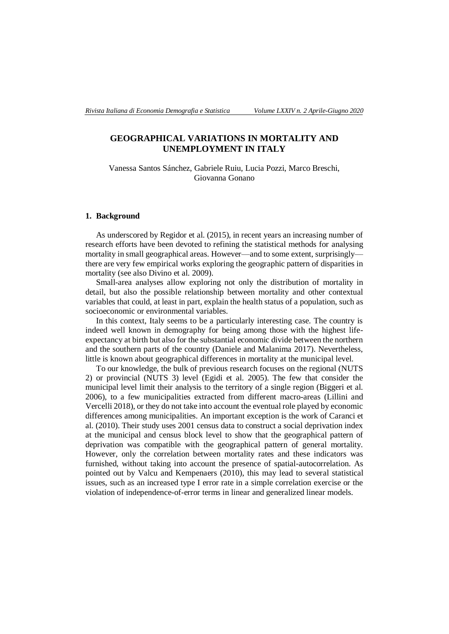# **GEOGRAPHICAL VARIATIONS IN MORTALITY AND UNEMPLOYMENT IN ITALY**

Vanessa Santos Sánchez, Gabriele Ruiu, Lucia Pozzi, Marco Breschi, Giovanna Gonano

#### **1. Background**

As underscored by Regidor et al. (2015), in recent years an increasing number of research efforts have been devoted to refining the statistical methods for analysing mortality in small geographical areas. However—and to some extent, surprisingly there are very few empirical works exploring the geographic pattern of disparities in mortality (see also Divino et al. 2009).

Small-area analyses allow exploring not only the distribution of mortality in detail, but also the possible relationship between mortality and other contextual variables that could, at least in part, explain the health status of a population, such as socioeconomic or environmental variables.

In this context, Italy seems to be a particularly interesting case. The country is indeed well known in demography for being among those with the highest lifeexpectancy at birth but also for the substantial economic divide between the northern and the southern parts of the country (Daniele and Malanima 2017). Nevertheless, little is known about geographical differences in mortality at the municipal level.

To our knowledge, the bulk of previous research focuses on the regional (NUTS 2) or provincial (NUTS 3) level (Egidi et al. 2005). The few that consider the municipal level limit their analysis to the territory of a single region (Biggeri et al. 2006), to a few municipalities extracted from different macro-areas (Lillini and Vercelli 2018), or they do not take into account the eventual role played by economic differences among municipalities. An important exception is the work of Caranci et al. (2010). Their study uses 2001 census data to construct a social deprivation index at the municipal and census block level to show that the geographical pattern of deprivation was compatible with the geographical pattern of general mortality. However, only the correlation between mortality rates and these indicators was furnished, without taking into account the presence of spatial-autocorrelation. As pointed out by Valcu and Kempenaers (2010), this may lead to several statistical issues, such as an increased type I error rate in a simple correlation exercise or the violation of independence-of-error terms in linear and generalized linear models.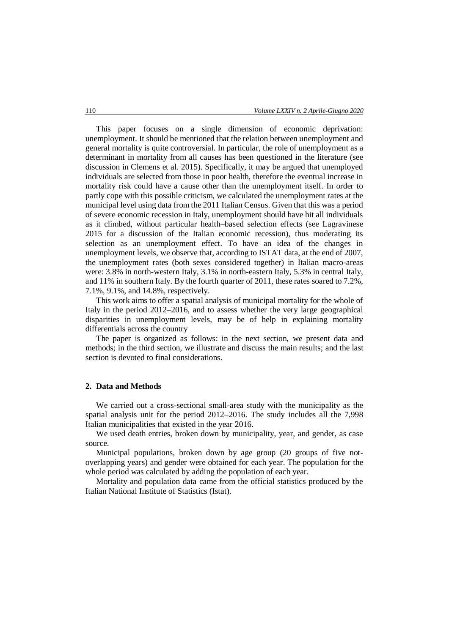This paper focuses on a single dimension of economic deprivation: unemployment. It should be mentioned that the relation between unemployment and general mortality is quite controversial. In particular, the role of unemployment as a determinant in mortality from all causes has been questioned in the literature (see discussion in Clemens et al. 2015). Specifically, it may be argued that unemployed individuals are selected from those in poor health, therefore the eventual increase in mortality risk could have a cause other than the unemployment itself. In order to partly cope with this possible criticism, we calculated the unemployment rates at the municipal level using data from the 2011 Italian Census. Given that this was a period of severe economic recession in Italy, unemployment should have hit all individuals as it climbed, without particular health–based selection effects (see Lagravinese 2015 for a discussion of the Italian economic recession), thus moderating its selection as an unemployment effect. To have an idea of the changes in unemployment levels, we observe that, according to ISTAT data, at the end of 2007, the unemployment rates (both sexes considered together) in Italian macro-areas were: 3.8% in north-western Italy, 3.1% in north-eastern Italy, 5.3% in central Italy, and 11% in southern Italy. By the fourth quarter of 2011, these rates soared to 7.2%, 7.1%, 9.1%, and 14.8%, respectively.

This work aims to offer a spatial analysis of municipal mortality for the whole of Italy in the period 2012–2016, and to assess whether the very large geographical disparities in unemployment levels, may be of help in explaining mortality differentials across the country

The paper is organized as follows: in the next section, we present data and methods; in the third section, we illustrate and discuss the main results; and the last section is devoted to final considerations.

#### **2. Data and Methods**

We carried out a cross-sectional small-area study with the municipality as the spatial analysis unit for the period 2012–2016. The study includes all the 7,998 Italian municipalities that existed in the year 2016.

We used death entries, broken down by municipality, year, and gender, as case source.

Municipal populations, broken down by age group (20 groups of five notoverlapping years) and gender were obtained for each year. The population for the whole period was calculated by adding the population of each year.

Mortality and population data came from the official statistics produced by the Italian National Institute of Statistics (Istat).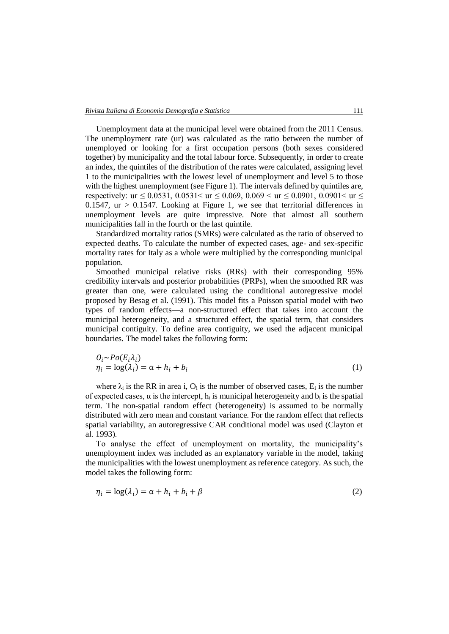Unemployment data at the municipal level were obtained from the 2011 Census. The unemployment rate (ur) was calculated as the ratio between the number of unemployed or looking for a first occupation persons (both sexes considered together) by municipality and the total labour force. Subsequently, in order to create an index, the quintiles of the distribution of the rates were calculated, assigning level 1 to the municipalities with the lowest level of unemployment and level 5 to those with the highest unemployment (see Figure 1). The intervals defined by quintiles are, respectively: ur  $\leq 0.0531$ ,  $0.0531<$  ur  $\leq 0.069$ ,  $0.069<$  ur  $\leq 0.0901$ ,  $0.0901<$  ur  $\leq$ 0.1547,  $ur > 0.1547$ . Looking at Figure 1, we see that territorial differences in unemployment levels are quite impressive. Note that almost all southern municipalities fall in the fourth or the last quintile.

Standardized mortality ratios (SMRs) were calculated as the ratio of observed to expected deaths. To calculate the number of expected cases, age- and sex-specific mortality rates for Italy as a whole were multiplied by the corresponding municipal population.

Smoothed municipal relative risks (RRs) with their corresponding 95% credibility intervals and posterior probabilities (PRPs), when the smoothed RR was greater than one, were calculated using the conditional autoregressive model proposed by Besag et al. (1991). This model fits a Poisson spatial model with two types of random effects—a non-structured effect that takes into account the municipal heterogeneity, and a structured effect, the spatial term, that considers municipal contiguity. To define area contiguity, we used the adjacent municipal boundaries. The model takes the following form:

$$
O_i \sim Po(E_i \lambda_i)
$$
  
\n
$$
\eta_i = \log(\lambda_i) = \alpha + h_i + b_i
$$
\n(1)

where  $\lambda_i$  is the RR in area i, O<sub>i</sub> is the number of observed cases. E<sub>i</sub> is the number of expected cases,  $\alpha$  is the intercept,  $h_i$  is municipal heterogeneity and  $b_i$  is the spatial term. The non-spatial random effect (heterogeneity) is assumed to be normally distributed with zero mean and constant variance. For the random effect that reflects spatial variability, an autoregressive CAR conditional model was used (Clayton et al. 1993).

To analyse the effect of unemployment on mortality, the municipality's unemployment index was included as an explanatory variable in the model, taking the municipalities with the lowest unemployment as reference category. As such, the model takes the following form:

$$
\eta_i = \log(\lambda_i) = \alpha + h_i + b_i + \beta \tag{2}
$$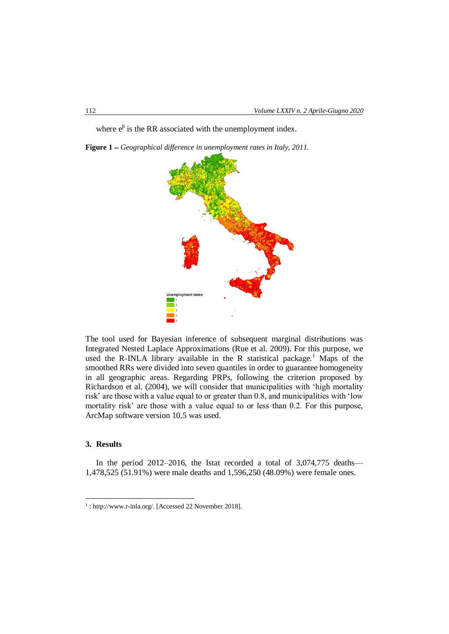where  $e^{\beta}$  is the RR associated with the unemployment index.

**Figure 1**  *Geographical difference in unemployment rates in Italy, 2011.*



The tool used for Bayesian inference of subsequent marginal distributions was Integrated Nested Laplace Approximations (Rue et al. 2009). For this purpose, we used the R-INLA library available in the R statistical package.<sup>1</sup> Maps of the smoothed RRs were divided into seven quantiles in order to guarantee homogeneity in all geographic areas. Regarding PRPs, following the criterion proposed by Richardson et al. (2004), we will consider that municipalities with 'high mortality risk' are those with a value equal to or greater than 0.8, and municipalities with 'low mortality risk' are those with a value equal to or less than 0.2. For this purpose, ArcMap software version 10.5 was used.

### **3. Results**

-

In the period 2012–2016, the Istat recorded a total of 3,074,775 deaths— 1,478,525 (51.91%) were male deaths and 1,596,250 (48.09%) were female ones.

<sup>1</sup> : http://www.r-inla.org/. [Accessed 22 November 2018].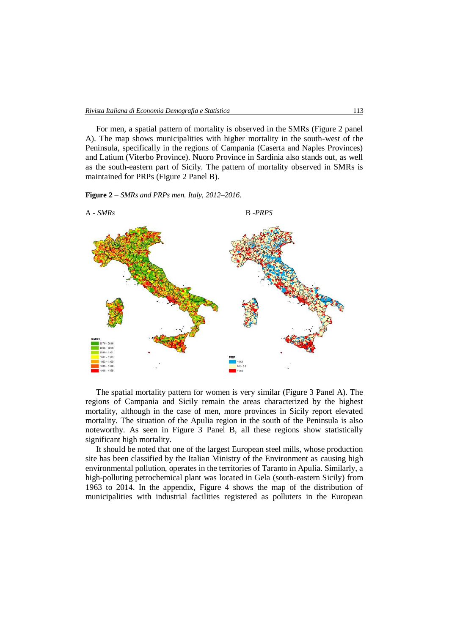For men, a spatial pattern of mortality is observed in the SMRs (Figure 2 panel A). The map shows municipalities with higher mortality in the south-west of the Peninsula, specifically in the regions of Campania (Caserta and Naples Provinces) and Latium (Viterbo Province). Nuoro Province in Sardinia also stands out, as well as the south-eastern part of Sicily. The pattern of mortality observed in SMRs is maintained for PRPs (Figure 2 Panel B).

**Figure 2** *SMRs and PRPs men. Italy, 2012–2016.*



The spatial mortality pattern for women is very similar (Figure 3 Panel A). The regions of Campania and Sicily remain the areas characterized by the highest mortality, although in the case of men, more provinces in Sicily report elevated mortality. The situation of the Apulia region in the south of the Peninsula is also noteworthy. As seen in Figure 3 Panel B, all these regions show statistically significant high mortality.

It should be noted that one of the largest European steel mills, whose production site has been classified by the Italian Ministry of the Environment as causing high environmental pollution, operates in the territories of Taranto in Apulia. Similarly, a high-polluting petrochemical plant was located in Gela (south-eastern Sicily) from 1963 to 2014. In the appendix, Figure 4 shows the map of the distribution of municipalities with industrial facilities registered as polluters in the European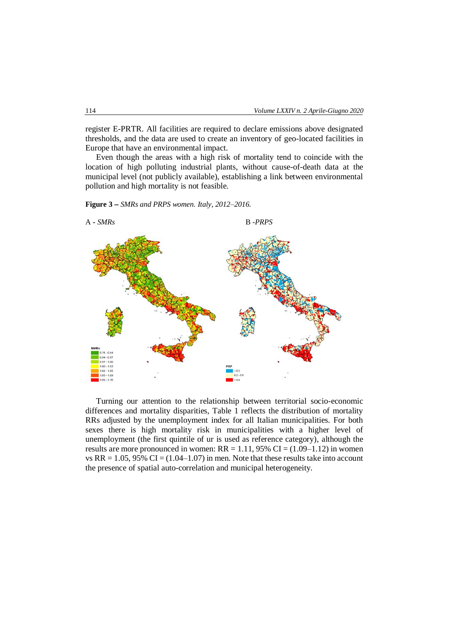register E-PRTR. All facilities are required to declare emissions above designated thresholds, and the data are used to create an inventory of geo-located facilities in Europe that have an environmental impact.

Even though the areas with a high risk of mortality tend to coincide with the location of high polluting industrial plants, without cause-of-death data at the municipal level (not publicly available), establishing a link between environmental pollution and high mortality is not feasible.

**Figure 3**  *SMRs and PRPS women. Italy, 2012–2016.*



Turning our attention to the relationship between territorial socio-economic differences and mortality disparities, Table 1 reflects the distribution of mortality RRs adjusted by the unemployment index for all Italian municipalities. For both sexes there is high mortality risk in municipalities with a higher level of unemployment (the first quintile of ur is used as reference category), although the results are more pronounced in women:  $RR = 1.11$ , 95%  $CI = (1.09 - 1.12)$  in women vs  $RR = 1.05$ , 95%  $CI = (1.04 - 1.07)$  in men. Note that these results take into account the presence of spatial auto-correlation and municipal heterogeneity.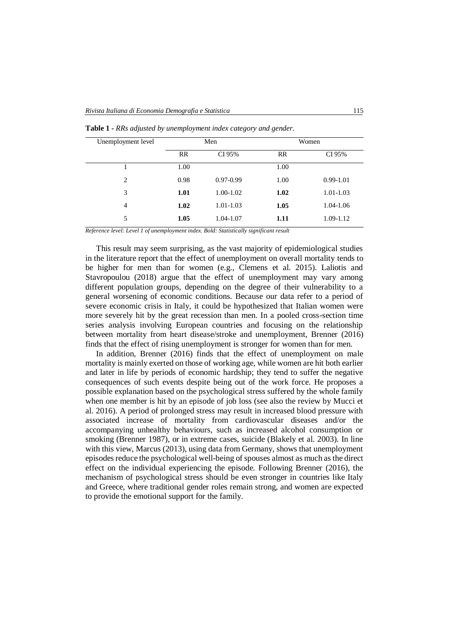| Unemployment level | Men  |               | Women |               |
|--------------------|------|---------------|-------|---------------|
|                    | RR   | CI 95%        | RR    | CI 95%        |
|                    | 1.00 |               | 1.00  |               |
| 2                  | 0.98 | $0.97 - 0.99$ | 1.00  | $0.99 - 1.01$ |
| 3                  | 1.01 | 1.00-1.02     | 1.02  | 1.01-1.03     |
| $\overline{4}$     | 1.02 | $1.01 - 1.03$ | 1.05  | 1.04-1.06     |
| 5                  | 1.05 | 1.04-1.07     | 1.11  | 1.09-1.12     |

**Table 1 -** *RRs adjusted by unemployment index category and gender.*

*Reference level: Level 1 of unemployment index. Bold: Statistically significant result*

This result may seem surprising, as the vast majority of epidemiological studies in the literature report that the effect of unemployment on overall mortality tends to be higher for men than for women (e.g., Clemens et al. 2015). Laliotis and Stavropoulou (2018) argue that the effect of unemployment may vary among different population groups, depending on the degree of their vulnerability to a general worsening of economic conditions. Because our data refer to a period of severe economic crisis in Italy, it could be hypothesized that Italian women were more severely hit by the great recession than men. In a pooled cross-section time series analysis involving European countries and focusing on the relationship between mortality from heart disease/stroke and unemployment, Brenner (2016) finds that the effect of rising unemployment is stronger for women than for men.

In addition, Brenner (2016) finds that the effect of unemployment on male mortality is mainly exerted on those of working age, while women are hit both earlier and later in life by periods of economic hardship; they tend to suffer the negative consequences of such events despite being out of the work force. He proposes a possible explanation based on the psychological stress suffered by the whole family when one member is hit by an episode of job loss (see also the review by Mucci et al. 2016). A period of prolonged stress may result in increased blood pressure with associated increase of mortality from cardiovascular diseases and/or the accompanying unhealthy behaviours, such as increased alcohol consumption or smoking (Brenner 1987), or in extreme cases, suicide (Blakely et al. 2003). In line with this view, Marcus (2013), using data from Germany, shows that unemployment episodes reduce the psychological well-being of spouses almost as much as the direct effect on the individual experiencing the episode. Following Brenner (2016), the mechanism of psychological stress should be even stronger in countries like Italy and Greece, where traditional gender roles remain strong, and women are expected to provide the emotional support for the family.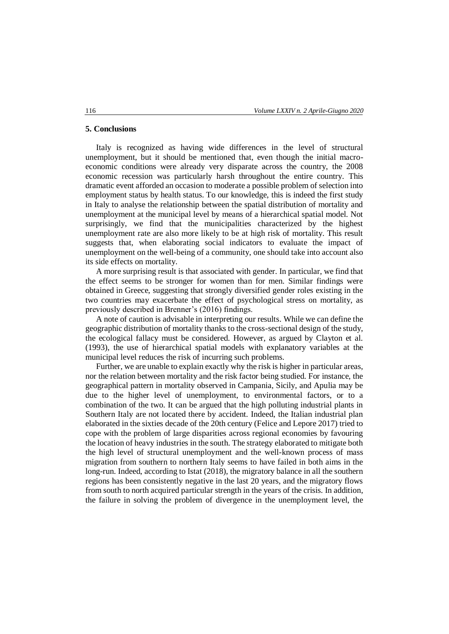#### **5. Conclusions**

Italy is recognized as having wide differences in the level of structural unemployment, but it should be mentioned that, even though the initial macroeconomic conditions were already very disparate across the country, the 2008 economic recession was particularly harsh throughout the entire country. This dramatic event afforded an occasion to moderate a possible problem of selection into employment status by health status. To our knowledge, this is indeed the first study in Italy to analyse the relationship between the spatial distribution of mortality and unemployment at the municipal level by means of a hierarchical spatial model. Not surprisingly, we find that the municipalities characterized by the highest unemployment rate are also more likely to be at high risk of mortality. This result suggests that, when elaborating social indicators to evaluate the impact of unemployment on the well-being of a community, one should take into account also its side effects on mortality.

A more surprising result is that associated with gender. In particular, we find that the effect seems to be stronger for women than for men. Similar findings were obtained in Greece, suggesting that strongly diversified gender roles existing in the two countries may exacerbate the effect of psychological stress on mortality, as previously described in Brenner's (2016) findings.

A note of caution is advisable in interpreting our results. While we can define the geographic distribution of mortality thanks to the cross-sectional design of the study, the ecological fallacy must be considered. However, as argued by Clayton et al. (1993), the use of hierarchical spatial models with explanatory variables at the municipal level reduces the risk of incurring such problems.

Further, we are unable to explain exactly why the risk is higher in particular areas, nor the relation between mortality and the risk factor being studied. For instance, the geographical pattern in mortality observed in Campania, Sicily, and Apulia may be due to the higher level of unemployment, to environmental factors, or to a combination of the two. It can be argued that the high polluting industrial plants in Southern Italy are not located there by accident. Indeed, the Italian industrial plan elaborated in the sixties decade of the 20th century (Felice and Lepore 2017) tried to cope with the problem of large disparities across regional economies by favouring the location of heavy industries in the south. The strategy elaborated to mitigate both the high level of structural unemployment and the well-known process of mass migration from southern to northern Italy seems to have failed in both aims in the long-run. Indeed, according to Istat (2018), the migratory balance in all the southern regions has been consistently negative in the last 20 years, and the migratory flows from south to north acquired particular strength in the years of the crisis. In addition, the failure in solving the problem of divergence in the unemployment level, the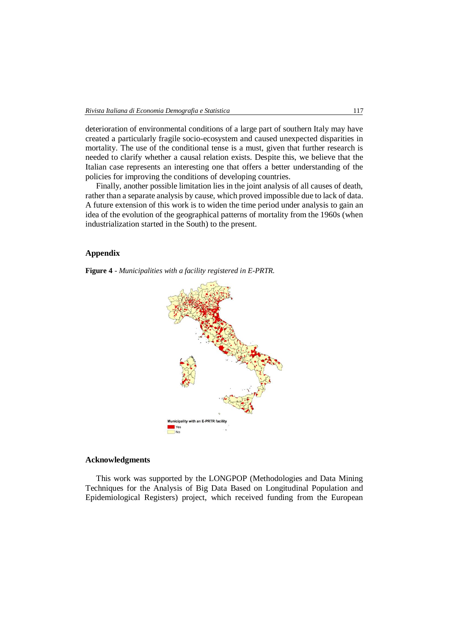deterioration of environmental conditions of a large part of southern Italy may have created a particularly fragile socio-ecosystem and caused unexpected disparities in mortality. The use of the conditional tense is a must, given that further research is needed to clarify whether a causal relation exists. Despite this, we believe that the Italian case represents an interesting one that offers a better understanding of the policies for improving the conditions of developing countries.

Finally, another possible limitation lies in the joint analysis of all causes of death, rather than a separate analysis by cause, which proved impossible due to lack of data. A future extension of this work is to widen the time period under analysis to gain an idea of the evolution of the geographical patterns of mortality from the 1960s (when industrialization started in the South) to the present.

#### **Appendix**

**Figure 4** - *Municipalities with a facility registered in E-PRTR.*



#### **Acknowledgments**

This work was supported by the LONGPOP (Methodologies and Data Mining Techniques for the Analysis of Big Data Based on Longitudinal Population and Epidemiological Registers) project, which received funding from the European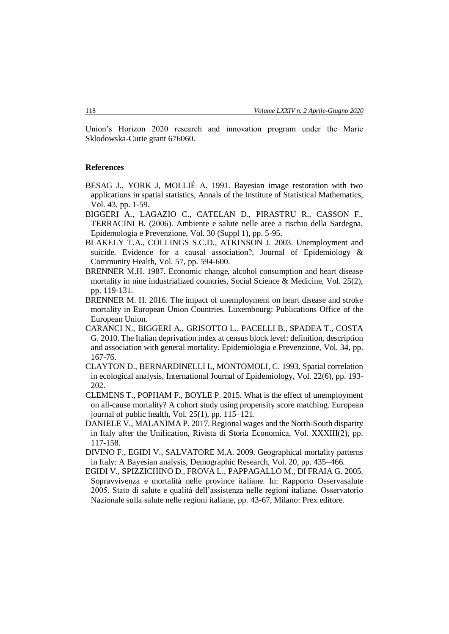Union's Horizon 2020 research and innovation program under the Marie Sklodowska-Curie grant 676060.

#### **References**

- BESAG J., YORK J, MOLLIÈ A. 1991. Bayesian image restoration with two applications in spatial statistics, Annals of the Institute of Statistical Mathematics, Vol. 43, pp. 1-59.
- BIGGERI A., LAGAZIO C., CATELAN D., PIRASTRU R., CASSON F., TERRACINI B. (2006). Ambiente e salute nelle aree a rischio della Sardegna, Epidemologia e Prevenzione, Vol. 30 (Suppl 1), pp. 5-95.
- BLAKELY T.A., COLLINGS S.C.D., ATKINSON J. 2003. Unemployment and suicide. Evidence for a causal association?, Journal of Epidemiology & Community Health, Vol. 57, pp. 594-600.
- BRENNER M.H. 1987. Economic change, alcohol consumption and heart disease mortality in nine industrialized countries, Social Science & Medicine, Vol. 25(2), pp. 119-131.
- BRENNER M. H. 2016. The impact of unemployment on heart disease and stroke mortality in European Union Countries. Luxembourg: Publications Office of the European Union.
- CARANCI N., BIGGERI A., GRISOTTO L., PACELLI B., SPADEA T., COSTA G. 2010. The Italian deprivation index at census block level: definition, description and association with general mortality. Epidemiologia e Prevenzione, Vol. 34, pp. 167-76.
- CLAYTON D., BERNARDINELLI L, MONTOMOLI, C. 1993. Spatial correlation in ecological analysis, International Journal of Epidemiology, Vol. 22(6), pp. 193- 202.
- CLEMENS T., POPHAM F., BOYLE P. 2015. What is the effect of unemployment on all-cause mortality? A cohort study using propensity score matching. European journal of public health, Vol. 25(1), pp. 115–121.
- DANIELE V., MALANIMA P. 2017. Regional wages and the North-South disparity in Italy after the Unification, Rivista di Storia Economica, Vol. XXXIII(2), pp. 117-158.
- DIVINO F., EGIDI V., SALVATORE M.A. 2009. Geographical mortality patterns in Italy: A Bayesian analysis, Demographic Research, Vol. 20, pp. 435–466.
- EGIDI V., SPIZZICHINO D., FROVA L., PAPPAGALLO M., DI FRAIA G. 2005. Sopravvivenza e mortalità nelle province italiane. In: Rapporto Osservasalute 2005. Stato di salute e qualità dell'assistenza nelle regioni italiane. Osservatorio Nazionale sulla salute nelle regioni italiane, pp. 43-67, Milano: Prex editore.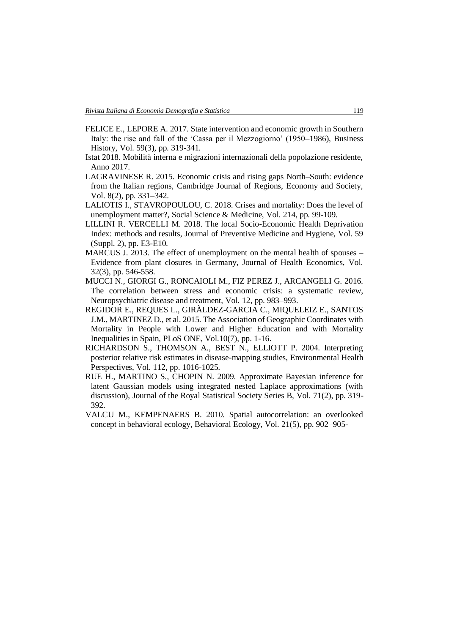- FELICE E., LEPORE A. 2017. State intervention and economic growth in Southern Italy: the rise and fall of the 'Cassa per il Mezzogiorno' (1950–1986), Business History, Vol. 59(3), pp. 319-341.
- Istat 2018. Mobilità interna e migrazioni internazionali della popolazione residente, Anno 2017.
- LAGRAVINESE R. 2015. Economic crisis and rising gaps North–South: evidence from the Italian regions, Cambridge Journal of Regions, Economy and Society, Vol. 8(2), pp. 331–342.
- LALIOTIS I., STAVROPOULOU, C. 2018. Crises and mortality: Does the level of unemployment matter?, Social Science & Medicine, Vol. 214, pp. 99-109.
- LILLINI R. VERCELLI M. 2018. The local Socio-Economic Health Deprivation Index: methods and results, Journal of Preventive Medicine and Hygiene, Vol. 59 (Suppl. 2), pp. E3-E10.
- MARCUS J. 2013. The effect of unemployment on the mental health of spouses Evidence from plant closures in Germany, Journal of Health Economics, Vol. 32(3), pp. 546-558.
- MUCCI N., GIORGI G., RONCAIOLI M., FIZ PEREZ J., ARCANGELI G. 2016. The correlation between stress and economic crisis: a systematic review, Neuropsychiatric disease and treatment, Vol. 12, pp. 983–993.
- REGIDOR E., REQUES L., GIRÀLDEZ-GARCIA C., MIQUELEIZ E., SANTOS J.M., MARTINEZ D., et al. 2015. The Association of Geographic Coordinates with Mortality in People with Lower and Higher Education and with Mortality Inequalities in Spain, PLoS ONE, Vol.10(7), pp. 1-16.
- RICHARDSON S., THOMSON A., BEST N., ELLIOTT P. 2004. Interpreting posterior relative risk estimates in disease-mapping studies, Environmental Health Perspectives, Vol. 112, pp. 1016-1025.
- RUE H., MARTINO S., CHOPIN N. 2009. Approximate Bayesian inference for latent Gaussian models using integrated nested Laplace approximations (with discussion), Journal of the Royal Statistical Society Series B, Vol. 71(2), pp. 319- 392.
- VALCU M., KEMPENAERS B. 2010. Spatial autocorrelation: an overlooked concept in behavioral ecology, Behavioral Ecology, Vol. 21(5), pp. 902–905-